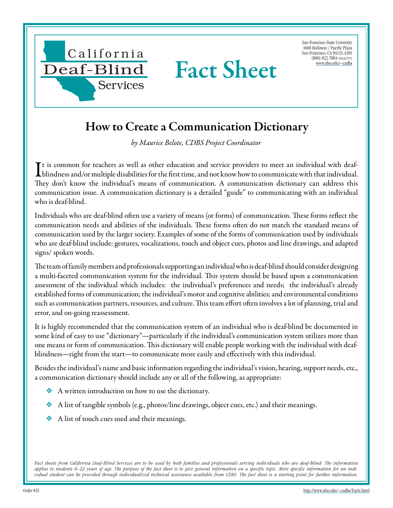

San Francisco State University 1600 Holloway / Pacific Plaza San Francisco, CA 94132-4201 (800) 822-7884 voice/tty [www.sfsu.edu/~cadbs](http://www.sfsu.edu/~cadbs/Facts.htmlwww.sfsu.edu/~cadbs)

## How to Create a Communication Dictionary

*by Maurice Belote, CDBS Project Coordinator*

It is common for teachers as well as other education and service providers to meet an individual with deaf-<br>blindness and/or multiple disabilities for the first time, and not know how to communicate with that individual. blindness and/or multiple disabilities for the first time, and not know how to communicate with that individual. They don't know the individual's means of communication. A communication dictionary can address this communication issue. A communication dictionary is a detailed "guide" to communicating with an individual who is deaf-blind.

Individuals who are deaf-blind often use a variety of means (or forms) of communication. These forms reflect the communication needs and abilities of the individuals. These forms often do not match the standard means of communication used by the larger society. Examples of some of the forms of communication used by individuals who are deaf-blind include: gestures, vocalizations, touch and object cues, photos and line drawings, and adapted signs/ spoken words.

The team of family members and professionals supporting an individual who is deaf-blind should consider designing a multi-faceted communication system for the individual. This system should be based upon a communication assessment of the individual which includes: the individual's preferences and needs; the individual's already established forms of communication; the individual's motor and cognitive abilities; and environmental conditions such as communication partners, resources, and culture. This team effort often involves a lot of planning, trial and error, and on-going reassessment.

It is highly recommended that the communication system of an individual who is deaf-blind be documented in some kind of easy to use "dictionary"—particularly if the individual's communication system utilizes more than one means or form of communication. This dictionary will enable people working with the individual with deafblindness—right from the start—to communicate more easily and effectively with this individual.

Besides the individual's name and basic information regarding the individual's vision, hearing, support needs, etc., a communication dictionary should include any or all of the following, as appropriate:

- ❖ A written introduction on how to use the dictionary.
- ❖ A list of tangible symbols (e.g., photos/line drawings, object cues, etc.) and their meanings.
- ❖ A list of touch cues used and their meanings.

Fact sheets from California Deaf-Blind Services are to be used by both families and professionals serving individuals who are deaf-blind. The information *applies to students 0–22 years of age. The purpose of the fact sheet is to give general information on a specific topic. More specific information for an individual student can be provided through individualized technical assistance available from CDBS. The fact sheet is a starting point for further information.*